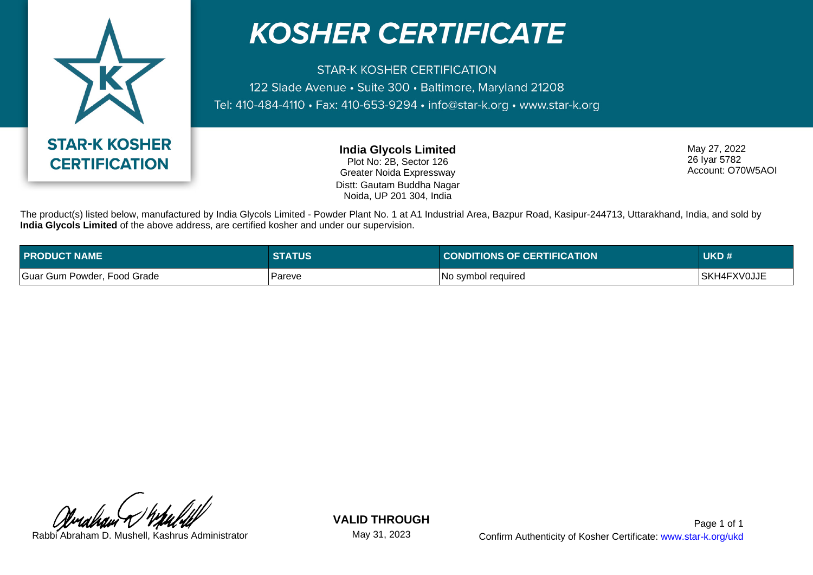

## **KOSHER CERTIFICATE**

**STAR-K KOSHER CERTIFICATION** 122 Slade Avenue · Suite 300 · Baltimore, Maryland 21208 Tel: 410-484-4110 • Fax: 410-653-9294 • info@star-k.org • www.star-k.org

> **India Glycols Limited** Plot No: 2B, Sector 126 Greater Noida Expressway Distt: Gautam Buddha Nagar Noida, UP 201 304, India

May 27, 2022 26 Iyar 5782 Account: O70W5AOI

The product(s) listed below, manufactured by India Glycols Limited - Powder Plant No. 1 at A1 Industrial Area, Bazpur Road, Kasipur-244713, Uttarakhand, India, and sold by **India Glycols Limited** of the above address, are certified kosher and under our supervision.

| <b>PRODUCT NAME</b>         | <b>STATUS</b> | <b>CONDITIONS OF CERTIFICATION</b> | UKD#        |
|-----------------------------|---------------|------------------------------------|-------------|
| Guar Gum Powder, Food Grade | Pareve        | No symbol required                 | SKH4FXV0JJE |

**VALID THROUGH**